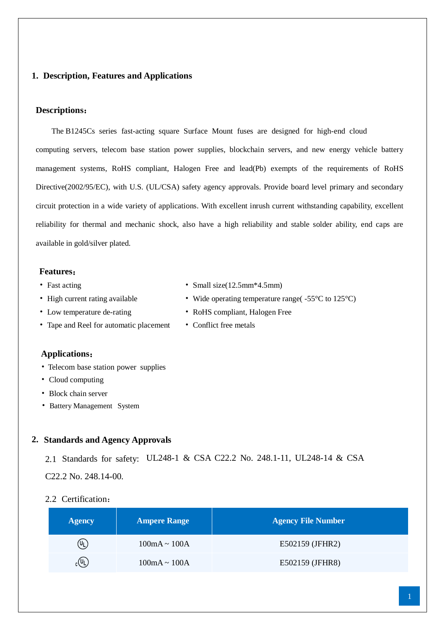### **1. Description, Features and Applications**

### **Descriptions**:

The B1245Cs series fast-acting square Surface Mount fuses are designed for high-end cloud computing servers, telecom base station power supplies, blockchain servers, and new energy vehicle battery management systems, RoHS compliant, Halogen Free and lead(Pb) exempts of the requirements of RoHS Directive(2002/95/EC), with U.S. (UL/CSA) safety agency approvals. Provide board level primary and secondary circuit protection in a wide variety of applications. With excellent inrush current withstanding capability, excellent reliability for thermal and mechanic shock, also have a high reliability and stable solder ability, end caps are available in gold/silver plated.

#### **Features**:

- 
- 
- 
- Tape and Reel for automatic placement Conflict free metals
- **Applications**:
- Telecom base station power supplies
- Cloud computing
- Block chain server
- Battery Management System

### **2. Standards and Agency Approvals**

2.1 Standards for safety: UL248-1 & CSA C22.2 No. 248.1-11, UL248-14 & CSA

C22.2 No. 248.14-00.

### 2.2 Certification:

| <b>Agency</b>               | <b>Ampere Range</b> | <b>Agency File Number</b> |
|-----------------------------|---------------------|---------------------------|
| $(\mathtt{U}_\mathsf{L})$   | $100mA \sim 100A$   | E502159 (JFHR2)           |
| $_{\rm c}$ (U <sub>L)</sub> | $100mA \sim 100A$   | E502159 (JFHR8)           |

- Fast acting Small size(12.5mm\*4.5mm)
- High current rating available Wide operating temperature range( $-55 \text{ C}$  to  $125 \text{ C}$ )
- Low temperature de-rating RoHS compliant, Halogen Free
	-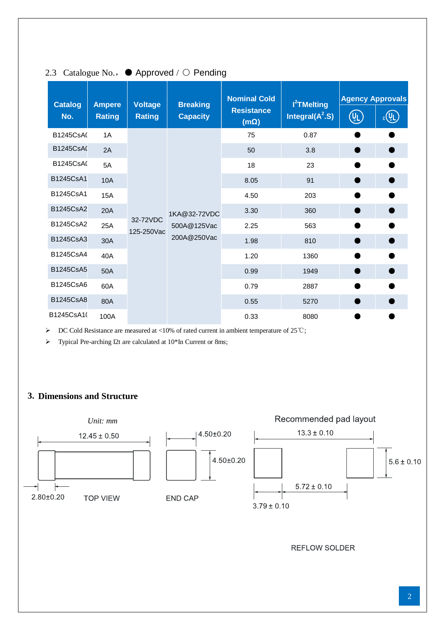| <b>Catalog</b>   | <b>Ampere</b> | <b>Voltage</b>         | <b>Breaking</b> | <b>Nominal Cold</b>              | <b>l<sup>2</sup>TMelting</b> | <b>Agency Approvals</b> |          |
|------------------|---------------|------------------------|-----------------|----------------------------------|------------------------------|-------------------------|----------|
| No.              | <b>Rating</b> | <b>Rating</b>          | <b>Capacity</b> | <b>Resistance</b><br>$(m\Omega)$ | Integral $(A^2.S)$           | $(U_L)$                 | $c(U_L)$ |
| <b>B1245CsA(</b> | 1A            |                        |                 | 75                               | 0.87                         |                         |          |
| <b>B1245CsA0</b> | 2A            |                        |                 | 50                               | 3.8                          |                         |          |
| B1245CsA(        | 5A            |                        |                 | 18                               | 23                           |                         |          |
| B1245CsA1        | <b>10A</b>    |                        |                 | 8.05                             | 91                           | $\bullet$               |          |
| B1245CsA1        | <b>15A</b>    |                        |                 | 4.50                             | 203                          |                         |          |
| B1245CsA2        | <b>20A</b>    |                        | 1KA@32-72VDC    | 3.30                             | 360                          |                         |          |
| B1245CsA2        | 25A           | 32-72VDC<br>125-250Vac | 500A@125Vac     | 2.25                             | 563                          |                         |          |
| B1245CsA3        | 30A           |                        | 200A@250Vac     | 1.98                             | 810                          | ٠                       |          |
| B1245CsA4        | 40A           |                        |                 | 1.20                             | 1360                         |                         |          |
| B1245CsA5        | 50A           |                        |                 | 0.99                             | 1949                         | $\bullet$               |          |
| B1245CsA6        | 60A           |                        |                 | 0.79                             | 2887                         |                         |          |
| <b>B1245CsA8</b> | 80A           |                        |                 | 0.55                             | 5270                         |                         |          |
| B1245CsA10       | 100A          |                        |                 | 0.33                             | 8080                         |                         |          |

# 2.3 Catalogue No., ● Approved / ○ Pending

DC Cold Resistance are measured at <10% of rated current in ambient temperature of 25℃;

> Typical Pre-arching I2t are calculated at 10\*In Current or 8ms;

## **3. Dimensions and Structure**



**REFLOW SOLDER**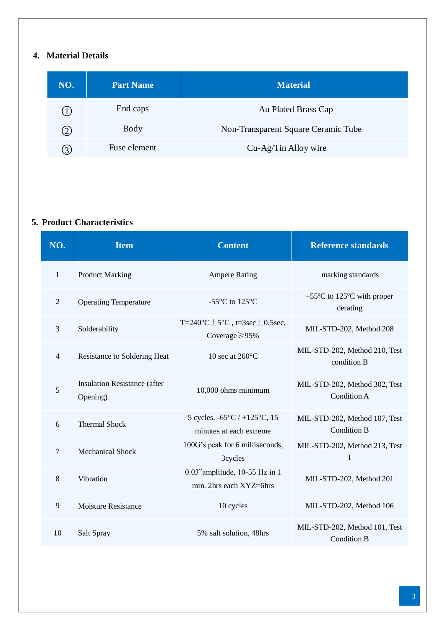# **4. Material Details**

| NO. | <b>Part Name</b> | <b>Material</b>                     |
|-----|------------------|-------------------------------------|
|     | End caps         | Au Plated Brass Cap                 |
| (2) | Body             | Non-Transparent Square Ceramic Tube |
| (3) | Fuse element     | Cu-Ag/Tin Alloy wire                |

## **5. Product Characteristics**

| NO.            | <b>Item</b>                              | <b>Content</b>                                                               | <b>Reference standards</b>                          |
|----------------|------------------------------------------|------------------------------------------------------------------------------|-----------------------------------------------------|
| $\mathbf{1}$   | <b>Product Marking</b>                   | <b>Ampere Rating</b>                                                         | marking standards                                   |
| $\overline{2}$ | <b>Operating Temperature</b>             | -55 $\mathbb{C}$ to 125 $\mathbb{C}$                                         | $-55$ °C to 125 °C with proper<br>derating          |
| 3              | Solderability                            | T=240 $C \pm 5 C$ , t=3sec $\pm$ 0.5sec,<br>Coverage $\geq$ 95%              | MIL-STD-202, Method 208                             |
| $\overline{4}$ | Resistance to Soldering Heat             | 10 sec at 260 $\mathbb{C}$                                                   | MIL-STD-202, Method 210, Test<br>condition B        |
| 5              | Insulation Resistance (after<br>Opening) | 10,000 ohms minimum                                                          | MIL-STD-202, Method 302, Test<br><b>Condition A</b> |
| 6              | <b>Thermal Shock</b>                     | 5 cycles, $-65 \text{ C}$ / $+125 \text{ C}$ , 15<br>minutes at each extreme | MIL-STD-202, Method 107, Test<br><b>Condition B</b> |
| $\overline{7}$ | <b>Mechanical Shock</b>                  | 100G's peak for 6 milliseconds,<br>3cycles                                   | MIL-STD-202, Method 213, Test<br>I                  |
| 8              | Vibration                                | 0.03" amplitude, 10-55 Hz in 1<br>min. 2hrs each XYZ=6hrs                    | MIL-STD-202, Method 201                             |
| 9              | <b>Moisture Resistance</b>               | 10 cycles                                                                    | MIL-STD-202, Method 106                             |
| 10             | Salt Spray                               | 5% salt solution, 48hrs                                                      | MIL-STD-202, Method 101, Test<br><b>Condition B</b> |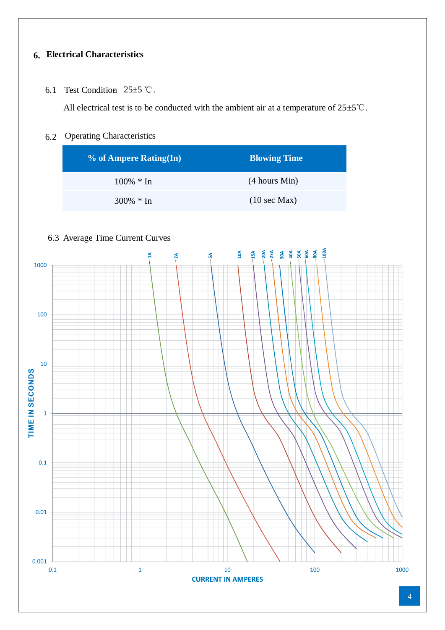# **6. Electrical Characteristics**

6.1 Test Condition  $25±5$  °C.

All electrical test is to be conducted with the ambient air at a temperature of  $25±5°C$ .

## 6.2 Operating Characteristics

| % of Ampere Rating(In) | <b>Blowing Time</b>     |
|------------------------|-------------------------|
| $100\% * In$           | (4 hours Min)           |
| $300\% * In$           | $(10 \text{ sec } Max)$ |